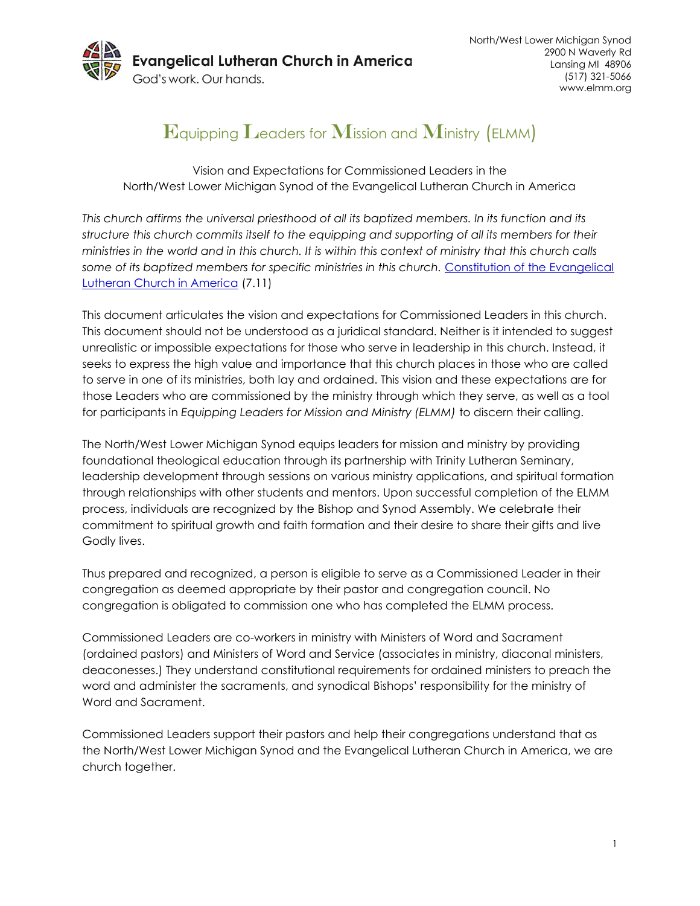

# $\mathbf E$ quipping  $\mathbf L$ eaders for  $\mathbf M$ ission and  $\mathbf M$ inistry (ELMM)

Vision and Expectations for Commissioned Leaders in the North/West Lower Michigan Synod of the Evangelical Lutheran Church in America

*This church affirms the universal priesthood of all its baptized members. In its function and its structure this church commits itself to the equipping and supporting of all its members for their ministries in the world and in this church. It is within this context of ministry that this church calls*  some of its baptized members for specific ministries in this church. Constitution of the Evangelical [Lutheran Church in America](http://download.elca.org/ELCA%20Resource%20Repository/Constitutions_of_the_ELCA_April_2015.pdf?_ga=1.217222742.1725381102.1371216098) (7.11)

This document articulates the vision and expectations for Commissioned Leaders in this church. This document should not be understood as a juridical standard. Neither is it intended to suggest unrealistic or impossible expectations for those who serve in leadership in this church. Instead, it seeks to express the high value and importance that this church places in those who are called to serve in one of its ministries, both lay and ordained. This vision and these expectations are for those Leaders who are commissioned by the ministry through which they serve, as well as a tool for participants in *Equipping Leaders for Mission and Ministry (ELMM)* to discern their calling.

The North/West Lower Michigan Synod equips leaders for mission and ministry by providing foundational theological education through its partnership with Trinity Lutheran Seminary, leadership development through sessions on various ministry applications, and spiritual formation through relationships with other students and mentors. Upon successful completion of the ELMM process, individuals are recognized by the Bishop and Synod Assembly. We celebrate their commitment to spiritual growth and faith formation and their desire to share their gifts and live Godly lives.

Thus prepared and recognized, a person is eligible to serve as a Commissioned Leader in their congregation as deemed appropriate by their pastor and congregation council. No congregation is obligated to commission one who has completed the ELMM process.

Commissioned Leaders are co-workers in ministry with Ministers of Word and Sacrament (ordained pastors) and Ministers of Word and Service (associates in ministry, diaconal ministers, deaconesses.) They understand constitutional requirements for ordained ministers to preach the word and administer the sacraments, and synodical Bishops' responsibility for the ministry of Word and Sacrament.

Commissioned Leaders support their pastors and help their congregations understand that as the North/West Lower Michigan Synod and the Evangelical Lutheran Church in America, we are church together.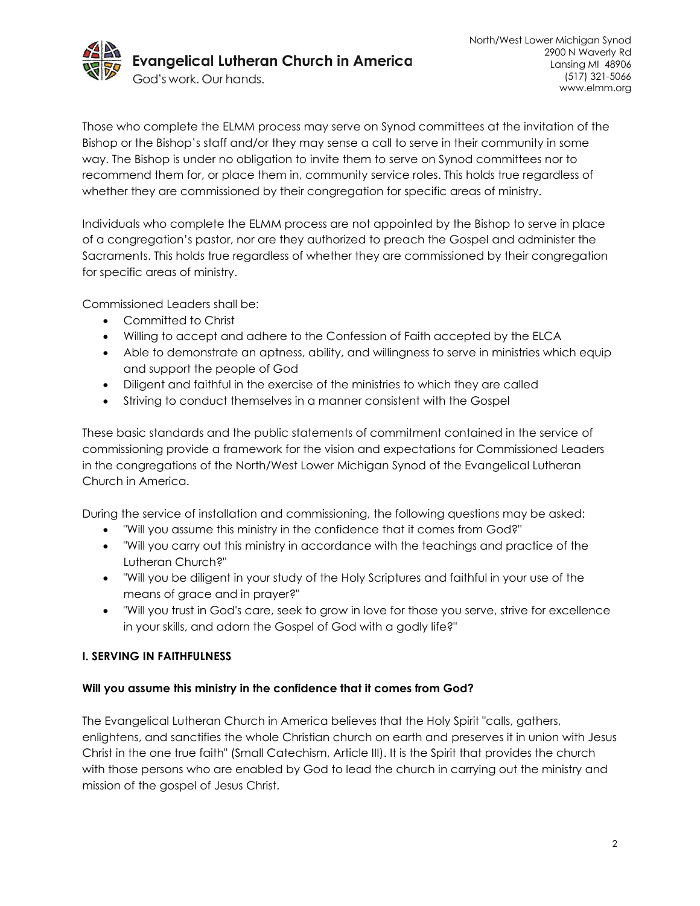

Those who complete the ELMM process may serve on Synod committees at the invitation of the Bishop or the Bishop's staff and/or they may sense a call to serve in their community in some way. The Bishop is under no obligation to invite them to serve on Synod committees nor to recommend them for, or place them in, community service roles. This holds true regardless of whether they are commissioned by their congregation for specific areas of ministry.

Individuals who complete the ELMM process are not appointed by the Bishop to serve in place of a congregation's pastor, nor are they authorized to preach the Gospel and administer the Sacraments. This holds true regardless of whether they are commissioned by their congregation for specific areas of ministry.

Commissioned Leaders shall be:

- Committed to Christ
- Willing to accept and adhere to the Confession of Faith accepted by the ELCA
- Able to demonstrate an aptness, ability, and willingness to serve in ministries which equip and support the people of God
- Diligent and faithful in the exercise of the ministries to which they are called
- Striving to conduct themselves in a manner consistent with the Gospel

These basic standards and the public statements of commitment contained in the service of commissioning provide a framework for the vision and expectations for Commissioned Leaders in the congregations of the North/West Lower Michigan Synod of the Evangelical Lutheran Church in America.

During the service of installation and commissioning, the following questions may be asked:

- "Will you assume this ministry in the confidence that it comes from God?"
- "Will you carry out this ministry in accordance with the teachings and practice of the Lutheran Church?"
- "Will you be diligent in your study of the Holy Scriptures and faithful in your use of the means of grace and in prayer?"
- "Will you trust in God's care, seek to grow in love for those you serve, strive for excellence in your skills, and adorn the Gospel of God with a godly life?"

## **I. SERVING IN FAITHFULNESS**

## **Will you assume this ministry in the confidence that it comes from God?**

The Evangelical Lutheran Church in America believes that the Holy Spirit "calls, gathers, enlightens, and sanctifies the whole Christian church on earth and preserves it in union with Jesus Christ in the one true faith" (Small Catechism, Article III). It is the Spirit that provides the church with those persons who are enabled by God to lead the church in carrying out the ministry and mission of the gospel of Jesus Christ.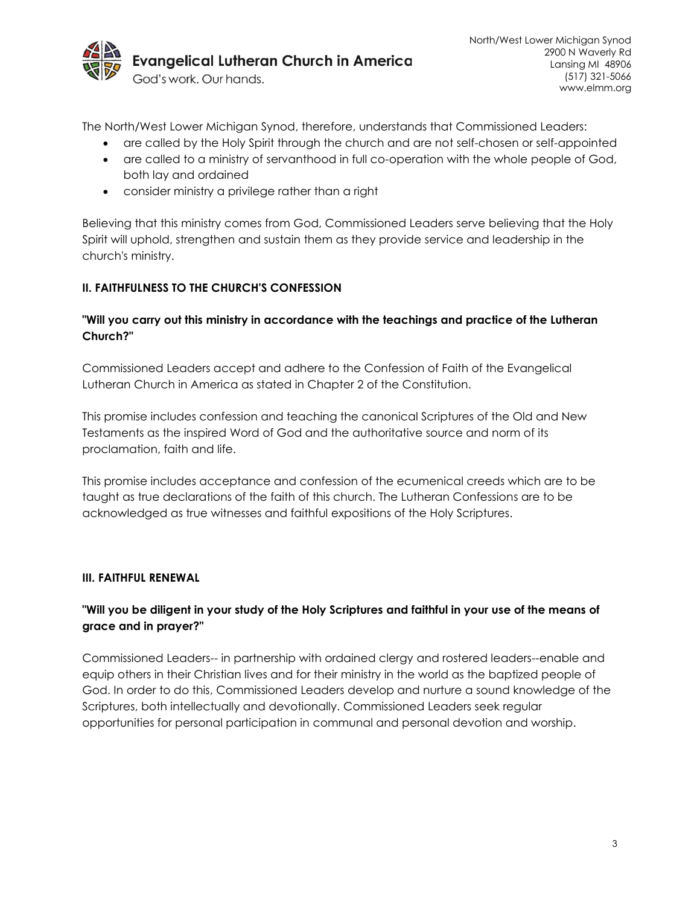

The North/West Lower Michigan Synod, therefore, understands that Commissioned Leaders:

- are called by the Holy Spirit through the church and are not self-chosen or self-appointed
- are called to a ministry of servanthood in full co-operation with the whole people of God, both lay and ordained
- consider ministry a privilege rather than a right

Believing that this ministry comes from God, Commissioned Leaders serve believing that the Holy Spirit will uphold, strengthen and sustain them as they provide service and leadership in the church's ministry.

## **II. FAITHFULNESS TO THE CHURCH'S CONFESSION**

## **"Will you carry out this ministry in accordance with the teachings and practice of the Lutheran Church?"**

Commissioned Leaders accept and adhere to the Confession of Faith of the Evangelical Lutheran Church in America as stated in Chapter 2 of the Constitution.

This promise includes confession and teaching the canonical Scriptures of the Old and New Testaments as the inspired Word of God and the authoritative source and norm of its proclamation, faith and life.

This promise includes acceptance and confession of the ecumenical creeds which are to be taught as true declarations of the faith of this church. The Lutheran Confessions are to be acknowledged as true witnesses and faithful expositions of the Holy Scriptures.

#### **III. FAITHFUL RENEWAL**

# **"Will you be diligent in your study of the Holy Scriptures and faithful in your use of the means of grace and in prayer?"**

Commissioned Leaders-- in partnership with ordained clergy and rostered leaders--enable and equip others in their Christian lives and for their ministry in the world as the baptized people of God. In order to do this, Commissioned Leaders develop and nurture a sound knowledge of the Scriptures, both intellectually and devotionally. Commissioned Leaders seek regular opportunities for personal participation in communal and personal devotion and worship.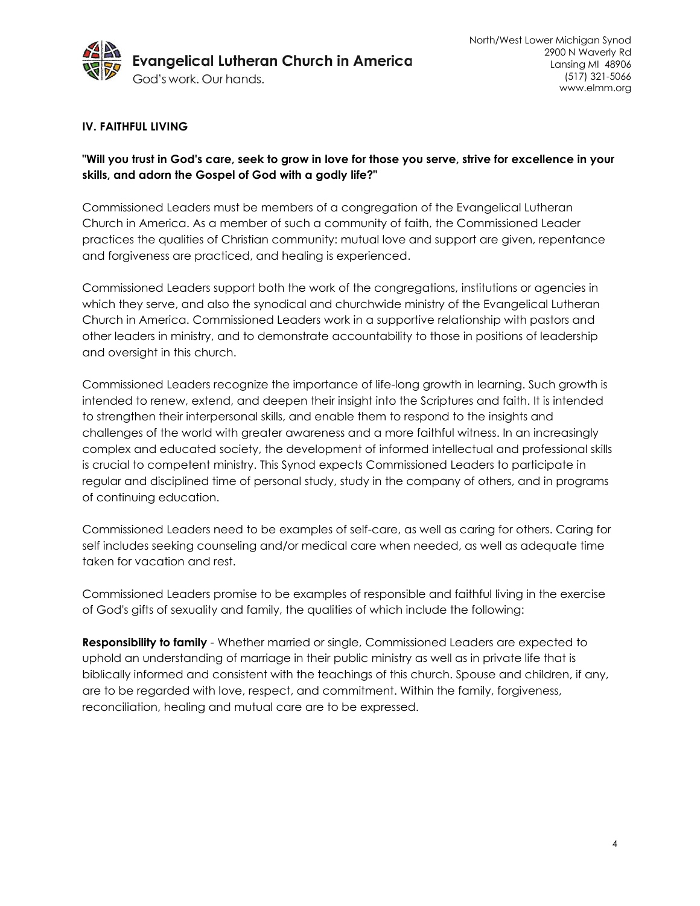

#### **IV. FAITHFUL LIVING**

## **"Will you trust in God's care, seek to grow in love for those you serve, strive for excellence in your skills, and adorn the Gospel of God with a godly life?"**

Commissioned Leaders must be members of a congregation of the Evangelical Lutheran Church in America. As a member of such a community of faith, the Commissioned Leader practices the qualities of Christian community: mutual love and support are given, repentance and forgiveness are practiced, and healing is experienced.

Commissioned Leaders support both the work of the congregations, institutions or agencies in which they serve, and also the synodical and churchwide ministry of the Evangelical Lutheran Church in America. Commissioned Leaders work in a supportive relationship with pastors and other leaders in ministry, and to demonstrate accountability to those in positions of leadership and oversight in this church.

Commissioned Leaders recognize the importance of life-long growth in learning. Such growth is intended to renew, extend, and deepen their insight into the Scriptures and faith. It is intended to strengthen their interpersonal skills, and enable them to respond to the insights and challenges of the world with greater awareness and a more faithful witness. In an increasingly complex and educated society, the development of informed intellectual and professional skills is crucial to competent ministry. This Synod expects Commissioned Leaders to participate in regular and disciplined time of personal study, study in the company of others, and in programs of continuing education.

Commissioned Leaders need to be examples of self-care, as well as caring for others. Caring for self includes seeking counseling and/or medical care when needed, as well as adequate time taken for vacation and rest.

Commissioned Leaders promise to be examples of responsible and faithful living in the exercise of God's gifts of sexuality and family, the qualities of which include the following:

**Responsibility to family** - Whether married or single, Commissioned Leaders are expected to uphold an understanding of marriage in their public ministry as well as in private life that is biblically informed and consistent with the teachings of this church. Spouse and children, if any, are to be regarded with love, respect, and commitment. Within the family, forgiveness, reconciliation, healing and mutual care are to be expressed.